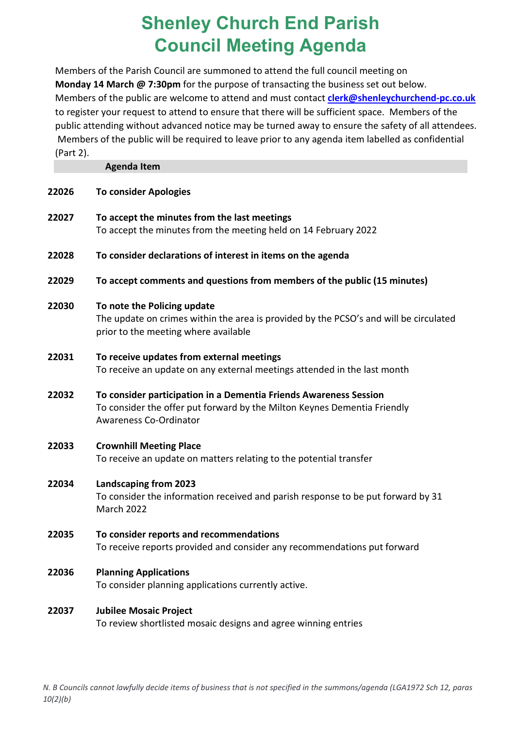## **Shenley Church End Parish Council Meeting Agenda**

Members of the Parish Council are summoned to attend the full council meeting on **Monday 14 March @ 7:30pm** for the purpose of transacting the business set out below. Members of the public are welcome to attend and must contact **[clerk@shenleychurchend-pc.co.uk](mailto:clerk@shenleychurchend-pc.co.uk)** to register your request to attend to ensure that there will be sufficient space. Members of the public attending without advanced notice may be turned away to ensure the safety of all attendees. Members of the public will be required to leave prior to any agenda item labelled as confidential (Part 2).

**Agenda Item**

| 22026 | <b>To consider Apologies</b>                                                                                                                                            |
|-------|-------------------------------------------------------------------------------------------------------------------------------------------------------------------------|
| 22027 | To accept the minutes from the last meetings<br>To accept the minutes from the meeting held on 14 February 2022                                                         |
| 22028 | To consider declarations of interest in items on the agenda                                                                                                             |
| 22029 | To accept comments and questions from members of the public (15 minutes)                                                                                                |
| 22030 | To note the Policing update<br>The update on crimes within the area is provided by the PCSO's and will be circulated<br>prior to the meeting where available            |
| 22031 | To receive updates from external meetings<br>To receive an update on any external meetings attended in the last month                                                   |
| 22032 | To consider participation in a Dementia Friends Awareness Session<br>To consider the offer put forward by the Milton Keynes Dementia Friendly<br>Awareness Co-Ordinator |
| 22033 | <b>Crownhill Meeting Place</b><br>To receive an update on matters relating to the potential transfer                                                                    |
| 22034 | <b>Landscaping from 2023</b><br>To consider the information received and parish response to be put forward by 31<br>March 2022                                          |
| 22035 | To consider reports and recommendations<br>To receive reports provided and consider any recommendations put forward                                                     |
| 22036 | <b>Planning Applications</b><br>To consider planning applications currently active.                                                                                     |
| 22037 | <b>Jubilee Mosaic Project</b><br>To review shortlisted mosaic designs and agree winning entries                                                                         |